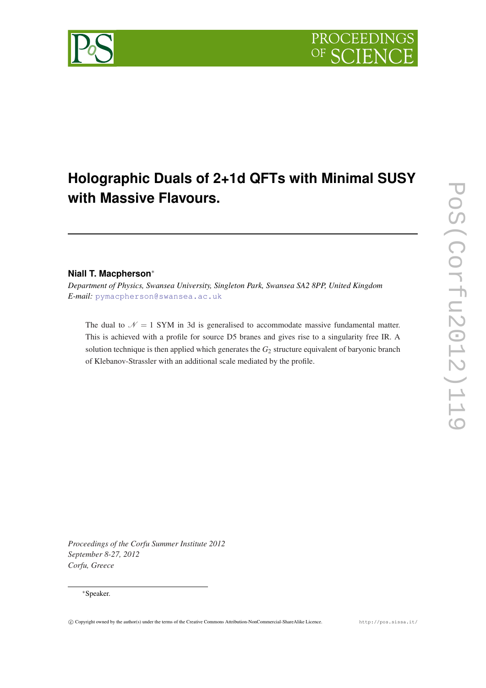

# **Holographic Duals of 2+1d QFTs with Minimal SUSY with Massive Flavours.**

## **Niall T. Macpherson**<sup>∗</sup>

*Department of Physics, Swansea University, Singleton Park, Swansea SA2 8PP, United Kingdom E-mail:* [pymacpherson@swansea.ac.uk](mailto:pymacpherson@swansea.ac.uk)

The dual to  $\mathcal{N} = 1$  SYM in 3d is generalised to accommodate massive fundamental matter. This is achieved with a profile for source D5 branes and gives rise to a singularity free IR. A solution technique is then applied which generates the *G*<sup>2</sup> structure equivalent of baryonic branch of Klebanov-Strassler with an additional scale mediated by the profile.

*Proceedings of the Corfu Summer Institute 2012 September 8-27, 2012 Corfu, Greece*

### <sup>∗</sup>Speaker.

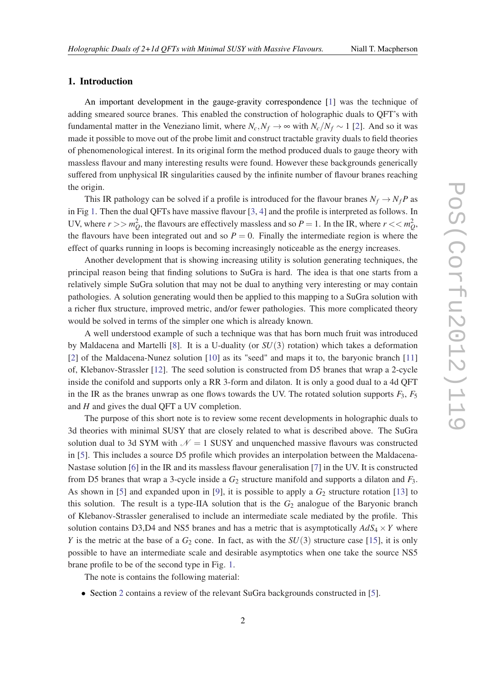### 1. Introduction

An important development in the gauge-gravity correspondence [\[1\]](#page-6-0) was the technique of adding smeared source branes. This enabled the construction of holographic duals to QFT's with fundamental matter in the Veneziano limit, where  $N_c$ ,  $N_f \rightarrow \infty$  with  $N_c/N_f \sim 1$  [\[2\]](#page-6-0). And so it was made it possible to move out of the probe limit and construct tractable gravity duals to field theories of phenomenological interest. In its original form the method produced duals to gauge theory with massless flavour and many interesting results were found. However these backgrounds generically suffered from unphysical IR singularities caused by the infinite number of flavour branes reaching the origin.

This IR pathology can be solved if a profile is introduced for the flavour branes  $N_f \rightarrow N_f P$  as in Fig [1.](#page-2-0) Then the dual QFTs have massive flavour [\[3,](#page-6-0) [4](#page-6-0)] and the profile is interpreted as follows. In UV, where  $r >> m_Q^2$ , the flavours are effectively massless and so  $P = 1$ . In the IR, where  $r << m_Q^2$ , the flavours have been integrated out and so  $P = 0$ . Finally the intermediate region is where the effect of quarks running in loops is becoming increasingly noticeable as the energy increases.

Another development that is showing increasing utility is solution generating techniques, the principal reason being that finding solutions to SuGra is hard. The idea is that one starts from a relatively simple SuGra solution that may not be dual to anything very interesting or may contain pathologies. A solution generating would then be applied to this mapping to a SuGra solution with a richer flux structure, improved metric, and/or fewer pathologies. This more complicated theory would be solved in terms of the simpler one which is already known.

A well understood example of such a technique was that has born much fruit was introduced by Maldacena and Martelli [\[8\]](#page-6-0). It is a U-duality (or *SU*(3) rotation) which takes a deformation [[2](#page-6-0)] of the Maldacena-Nunez solution [\[10\]](#page-6-0) as its "seed" and maps it to, the baryonic branch [\[11](#page-6-0)] of, Klebanov-Strassler [[12\]](#page-6-0). The seed solution is constructed from D5 branes that wrap a 2-cycle inside the conifold and supports only a RR 3-form and dilaton. It is only a good dual to a 4d QFT in the IR as the branes unwrap as one flows towards the UV. The rotated solution supports  $F_3$ ,  $F_5$ and *H* and gives the dual QFT a UV completion.

The purpose of this short note is to review some recent developments in holographic duals to 3d theories with minimal SUSY that are closely related to what is described above. The SuGra solution dual to 3d SYM with  $\mathcal{N} = 1$  SUSY and unquenched massive flavours was constructed in [\[5\]](#page-6-0). This includes a source D5 profile which provides an interpolation between the Maldacena-Nastase solution [\[6](#page-6-0)] in the IR and its massless flavour generalisation [[7](#page-6-0)] in the UV. It is constructed from D5 branes that wrap a 3-cycle inside a *G*<sup>2</sup> structure manifold and supports a dilaton and *F*3. As shown in [\[5\]](#page-6-0) and expanded upon in [[9](#page-6-0)], it is possible to apply a  $G_2$  structure rotation [\[13](#page-6-0)] to this solution. The result is a type-IIA solution that is the  $G_2$  analogue of the Baryonic branch of Klebanov-Strassler generalised to include an intermediate scale mediated by the profile. This solution contains D3,D4 and NS5 branes and has a metric that is asymptotically  $AdS_4 \times Y$  where *Y* is the metric at the base of a  $G_2$  cone. In fact, as with the  $SU(3)$  structure case [[15\]](#page-6-0), it is only possible to have an intermediate scale and desirable asymptotics when one take the source NS5 brane profile to be of the second type in Fig. [1](#page-2-0).

The note is contains the following material:

• Section [2](#page-2-0) contains a review of the relevant SuGra backgrounds constructed in [[5](#page-6-0)].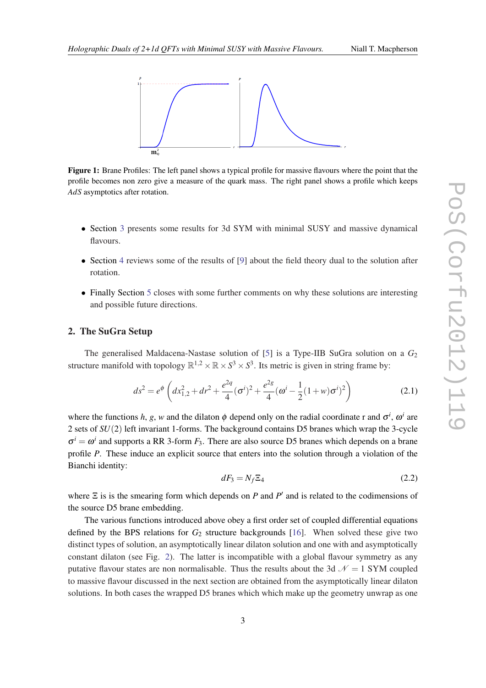<span id="page-2-0"></span>

Figure 1: Brane Profiles: The left panel shows a typical profile for massive flavours where the point that the profile becomes non zero give a measure of the quark mass. The right panel shows a profile which keeps *AdS* asymptotics after rotation.

- Section [3](#page-4-0) presents some results for 3d SYM with minimal SUSY and massive dynamical flavours.
- Section [4](#page-4-0) reviews some of the results of [[9](#page-6-0)] about the field theory dual to the solution after rotation.
- Finally Section [5](#page-5-0) closes with some further comments on why these solutions are interesting and possible future directions.

### 2. The SuGra Setup

The generalised Maldacena-Nastase solution of [\[5\]](#page-6-0) is a Type-IIB SuGra solution on a *G*<sup>2</sup> structure manifold with topology  $\mathbb{R}^{1,2} \times \mathbb{R} \times S^3 \times S^3$ . Its metric is given in string frame by:

$$
ds^{2} = e^{\phi} \left( dx_{1,2}^{2} + dr^{2} + \frac{e^{2q}}{4} (\sigma^{i})^{2} + \frac{e^{2g}}{4} (\omega^{i} - \frac{1}{2} (1 + w) \sigma^{i})^{2} \right)
$$
(2.1)

where the functions *h*, *g*, *w* and the dilaton  $\phi$  depend only on the radial coordinate r and  $\sigma^i$ ,  $\omega^i$  are 2 sets of *SU*(2) left invariant 1-forms. The background contains D5 branes which wrap the 3-cycle  $\sigma^i = \omega^i$  and supports a RR 3-form  $F_3$ . There are also source D5 branes which depends on a brane profile *P*. These induce an explicit source that enters into the solution through a violation of the Bianchi identity:

$$
dF_3 = N_f \Xi_4 \tag{2.2}
$$

where  $\Xi$  is is the smearing form which depends on *P* and *P'* and is related to the codimensions of the source D5 brane embedding.

The various functions introduced above obey a first order set of coupled differential equations defined by the BPS relations for  $G_2$  structure backgrounds [[16\]](#page-6-0). When solved these give two distinct types of solution, an asymptotically linear dilaton solution and one with and asymptotically constant dilaton (see Fig. [2\)](#page-3-0). The latter is incompatible with a global flavour symmetry as any putative flavour states are non normalisable. Thus the results about the 3d  $\mathcal{N} = 1$  SYM coupled to massive flavour discussed in the next section are obtained from the asymptotically linear dilaton solutions. In both cases the wrapped D5 branes which which make up the geometry unwrap as one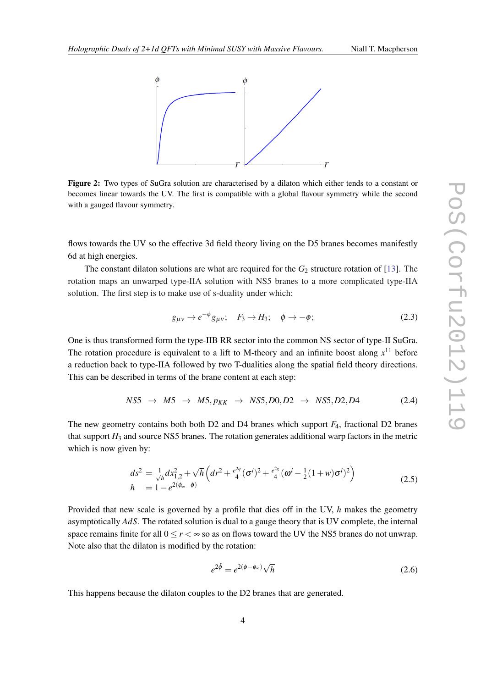<span id="page-3-0"></span>

Figure 2: Two types of SuGra solution are characterised by a dilaton which either tends to a constant or becomes linear towards the UV. The first is compatible with a global flavour symmetry while the second with a gauged flavour symmetry.

flows towards the UV so the effective 3d field theory living on the D5 branes becomes manifestly 6d at high energies.

The constant dilaton solutions are what are required for the  $G_2$  structure rotation of [[13\]](#page-6-0). The rotation maps an unwarped type-IIA solution with NS5 branes to a more complicated type-IIA solution. The first step is to make use of s-duality under which:

$$
g_{\mu\nu} \to e^{-\phi} g_{\mu\nu}; \quad F_3 \to H_3; \quad \phi \to -\phi; \tag{2.3}
$$

One is thus transformed form the type-IIB RR sector into the common NS sector of type-II SuGra. The rotation procedure is equivalent to a lift to M-theory and an infinite boost along  $x^{11}$  before a reduction back to type-IIA followed by two T-dualities along the spatial field theory directions. This can be described in terms of the brane content at each step:

$$
NS5 \rightarrow M5 \rightarrow M5, p_{KK} \rightarrow NS5, D0, D2 \rightarrow NS5, D2, D4 \tag{2.4}
$$

The new geometry contains both both D2 and D4 branes which support *F*4, fractional D2 branes that support  $H_3$  and source NS5 branes. The rotation generates additional warp factors in the metric which is now given by:

$$
ds^{2} = \frac{1}{\sqrt{h}} dx_{1,2}^{2} + \sqrt{h} \left( dr^{2} + \frac{e^{2q}}{4} (\sigma^{i})^{2} + \frac{e^{2g}}{4} (\omega^{i} - \frac{1}{2} (1 + w) \sigma^{i})^{2} \right)
$$
  
\n
$$
h = 1 - e^{2(\phi_{\infty} - \phi)}
$$
\n(2.5)

Provided that new scale is governed by a profile that dies off in the UV, *h* makes the geometry asymptotically *AdS*. The rotated solution is dual to a gauge theory that is UV complete, the internal space remains finite for all  $0 \le r \le \infty$  so as on flows toward the UV the NS5 branes do not unwrap. Note also that the dilaton is modified by the rotation:

$$
e^{2\hat{\phi}} = e^{2(\phi - \phi_{\infty})} \sqrt{h}
$$
 (2.6)

This happens because the dilaton couples to the D2 branes that are generated.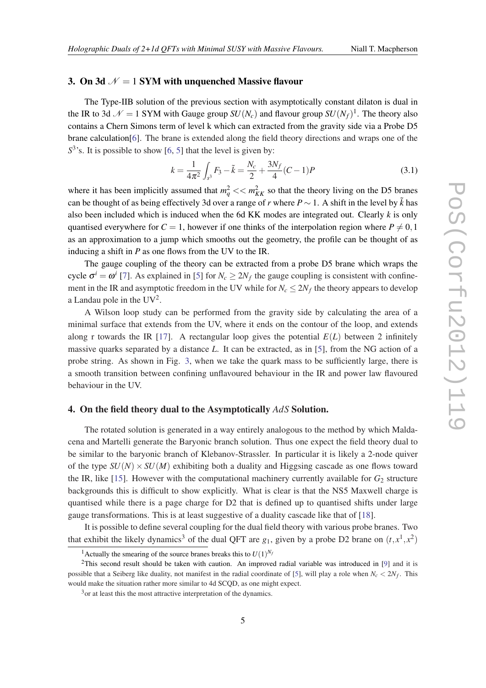### <span id="page-4-0"></span>3. On 3d  $\mathcal{N} = 1$  SYM with unquenched Massive flavour

The Type-IIB solution of the previous section with asymptotically constant dilaton is dual in the IR to 3d  $\mathcal{N} = 1$  SYM with Gauge group  $SU(N_c)$  and flavour group  $SU(N_f)^1$ . The theory also contains a Chern Simons term of level k which can extracted from the gravity side via a Probe D5 brane calculation[\[6](#page-6-0)]. The brane is extended along the field theory directions and wraps one of the S<sup>3</sup>'s. It is possible to show [[6](#page-6-0), [5](#page-6-0)] that the level is given by:

$$
k = \frac{1}{4\pi^2} \int_{s^3} F_3 - \tilde{k} = \frac{N_c}{2} + \frac{3N_f}{4} (C - 1) P
$$
 (3.1)

where it has been implicitly assumed that  $m_q^2 \ll m_{KK}^2$  so that the theory living on the D5 branes can be thought of as being effectively 3d over a range of *r* where  $P \sim 1$ . A shift in the level by  $\tilde{k}$  has also been included which is induced when the 6d KK modes are integrated out. Clearly *k* is only quantised everywhere for  $C = 1$ , however if one thinks of the interpolation region where  $P \neq 0,1$ as an approximation to a jump which smooths out the geometry, the profile can be thought of as inducing a shift in *P* as one flows from the UV to the IR.

The gauge coupling of the theory can be extracted from a probe D5 brane which wraps the cycle  $\sigma^i = \omega^i$  [\[7\]](#page-6-0). As explained in [\[5\]](#page-6-0) for  $N_c \ge 2N_f$  the gauge coupling is consistent with confinement in the IR and asymptotic freedom in the UV while for  $N_c \leq 2N_f$  the theory appears to develop a Landau pole in the  $UV^2$ .

A Wilson loop study can be performed from the gravity side by calculating the area of a minimal surface that extends from the UV, where it ends on the contour of the loop, and extends along r towards the IR [[17](#page-7-0)]. A rectangular loop gives the potential  $E(L)$  between 2 infinitely massive quarks separated by a distance *L*. It can be extracted, as in [\[5\]](#page-6-0), from the NG action of a probe string. As shown in Fig. [3](#page-5-0), when we take the quark mass to be sufficiently large, there is a smooth transition between confining unflavoured behaviour in the IR and power law flavoured behaviour in the UV.

### 4. On the field theory dual to the Asymptotically *AdS* Solution.

The rotated solution is generated in a way entirely analogous to the method by which Maldacena and Martelli generate the Baryonic branch solution. Thus one expect the field theory dual to be similar to the baryonic branch of Klebanov-Strassler. In particular it is likely a 2-node quiver of the type  $SU(N) \times SU(M)$  exhibiting both a duality and Higgsing cascade as one flows toward the IR, like [[15\]](#page-6-0). However with the computational machinery currently available for  $G_2$  structure backgrounds this is difficult to show explicitly. What is clear is that the NS5 Maxwell charge is quantised while there is a page charge for D2 that is defined up to quantised shifts under large gauge transformations. This is at least suggestive of a duality cascade like that of [\[18\]](#page-7-0).

It is possible to define several coupling for the dual field theory with various probe branes. Two that exhibit the likely dynamics<sup>3</sup> of the dual QFT are  $g_1$ , given by a probe D2 brane on  $(t, x^1, x^2)$ 

<sup>&</sup>lt;sup>1</sup> Actually the smearing of the source branes breaks this to  $U(1)^{N_f}$ 

<sup>&</sup>lt;sup>2</sup>This second result should be taken with caution. An improved radial variable was introduced in [\[9\]](#page-6-0) and it is possible that a Seiberg like duality, not manifest in the radial coordinate of [\[5\]](#page-6-0), will play a role when  $N_c < 2N_f$ . This would make the situation rather more similar to 4d SCQD, as one might expect.

<sup>&</sup>lt;sup>3</sup> or at least this the most attractive interpretation of the dynamics.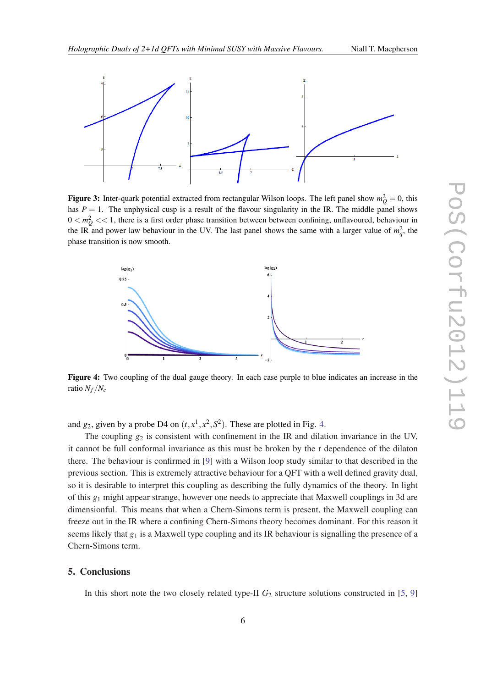<span id="page-5-0"></span>

**Figure 3:** Inter-quark potential extracted from rectangular Wilson loops. The left panel show  $m_Q^2 = 0$ , this has  $P = 1$ . The unphysical cusp is a result of the flavour singularity in the IR. The middle panel shows  $0 < m_Q^2 << 1$ , there is a first order phase transition between between confining, unflavoured, behaviour in the IR and power law behaviour in the UV. The last panel shows the same with a larger value of  $m_q^2$ , the phase transition is now smooth.



Figure 4: Two coupling of the dual gauge theory. In each case purple to blue indicates an increase in the ratio  $N_f/N_c$ 

and  $g_2$ , given by a probe D4 on  $(t, x^1, x^2, S^2)$ . These are plotted in Fig. 4.

The coupling  $g_2$  is consistent with confinement in the IR and dilation invariance in the UV, it cannot be full conformal invariance as this must be broken by the r dependence of the dilaton there. The behaviour is confirmed in [[9](#page-6-0)] with a Wilson loop study similar to that described in the previous section. This is extremely attractive behaviour for a QFT with a well defined gravity dual, so it is desirable to interpret this coupling as describing the fully dynamics of the theory. In light of this *g*<sup>1</sup> might appear strange, however one needs to appreciate that Maxwell couplings in 3d are dimensionful. This means that when a Chern-Simons term is present, the Maxwell coupling can freeze out in the IR where a confining Chern-Simons theory becomes dominant. For this reason it seems likely that *g*<sup>1</sup> is a Maxwell type coupling and its IR behaviour is signalling the presence of a Chern-Simons term.

### 5. Conclusions

In this short note the two closely related type-II  $G_2$  structure solutions constructed in [\[5,](#page-6-0) [9](#page-6-0)]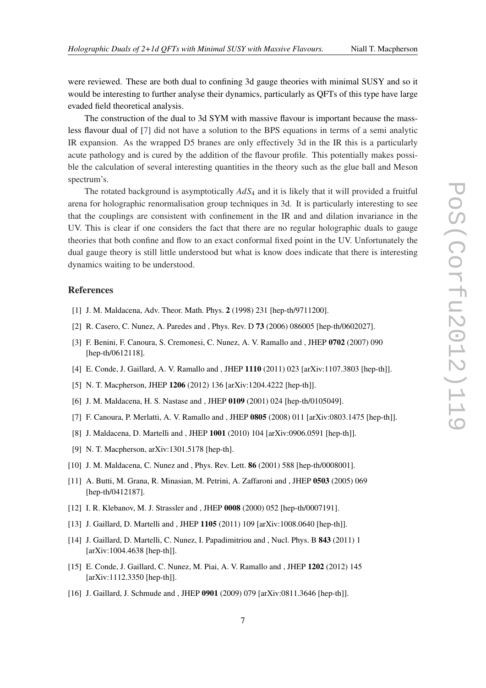<span id="page-6-0"></span>were reviewed. These are both dual to confining 3d gauge theories with minimal SUSY and so it would be interesting to further analyse their dynamics, particularly as QFTs of this type have large evaded field theoretical analysis.

The construction of the dual to 3d SYM with massive flavour is important because the massless flavour dual of [7] did not have a solution to the BPS equations in terms of a semi analytic IR expansion. As the wrapped D5 branes are only effectively 3d in the IR this is a particularly acute pathology and is cured by the addition of the flavour profile. This potentially makes possible the calculation of several interesting quantities in the theory such as the glue ball and Meson spectrum's.

The rotated background is asymptotically *AdS*<sup>4</sup> and it is likely that it will provided a fruitful arena for holographic renormalisation group techniques in 3d. It is particularly interesting to see that the couplings are consistent with confinement in the IR and and dilation invariance in the UV. This is clear if one considers the fact that there are no regular holographic duals to gauge theories that both confine and flow to an exact conformal fixed point in the UV. Unfortunately the dual gauge theory is still little understood but what is know does indicate that there is interesting dynamics waiting to be understood.

### References

- [1] J. M. Maldacena, Adv. Theor. Math. Phys. 2 (1998) 231 [hep-th/9711200].
- [2] R. Casero, C. Nunez, A. Paredes and , Phys. Rev. D 73 (2006) 086005 [hep-th/0602027].
- [3] F. Benini, F. Canoura, S. Cremonesi, C. Nunez, A. V. Ramallo and , JHEP 0702 (2007) 090 [hep-th/0612118].
- [4] E. Conde, J. Gaillard, A. V. Ramallo and , JHEP 1110 (2011) 023 [arXiv:1107.3803 [hep-th]].
- [5] N. T. Macpherson, JHEP 1206 (2012) 136 [arXiv:1204.4222 [hep-th]].
- [6] J. M. Maldacena, H. S. Nastase and , JHEP 0109 (2001) 024 [hep-th/0105049].
- [7] F. Canoura, P. Merlatti, A. V. Ramallo and , JHEP 0805 (2008) 011 [arXiv:0803.1475 [hep-th]].
- [8] J. Maldacena, D. Martelli and , JHEP 1001 (2010) 104 [arXiv:0906.0591 [hep-th]].
- [9] N. T. Macpherson, arXiv:1301.5178 [hep-th].
- [10] J. M. Maldacena, C. Nunez and , Phys. Rev. Lett. 86 (2001) 588 [hep-th/0008001].
- [11] A. Butti, M. Grana, R. Minasian, M. Petrini, A. Zaffaroni and , JHEP 0503 (2005) 069 [hep-th/0412187].
- [12] I. R. Klebanov, M. J. Strassler and , JHEP 0008 (2000) 052 [hep-th/0007191].
- [13] J. Gaillard, D. Martelli and , JHEP 1105 (2011) 109 [arXiv:1008.0640 [hep-th]].
- [14] J. Gaillard, D. Martelli, C. Nunez, I. Papadimitriou and, Nucl. Phys. B 843 (2011) 1 [arXiv:1004.4638 [hep-th]].
- [15] E. Conde, J. Gaillard, C. Nunez, M. Piai, A. V. Ramallo and , JHEP 1202 (2012) 145 [arXiv:1112.3350 [hep-th]].
- [16] J. Gaillard, J. Schmude and , JHEP 0901 (2009) 079 [arXiv:0811.3646 [hep-th]].